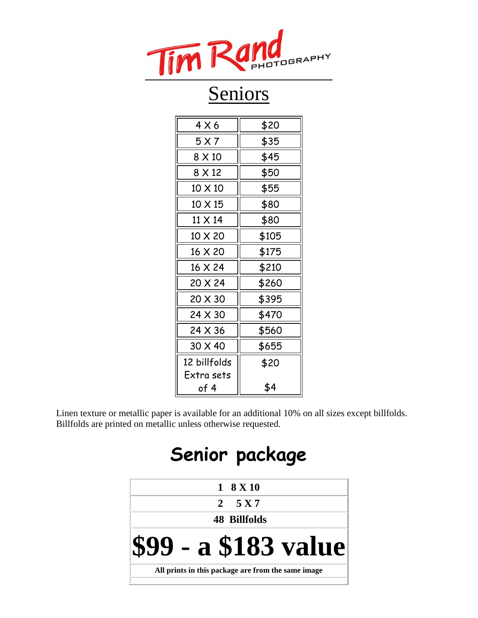

| 4 X 6        | \$20  |
|--------------|-------|
| 5 X 7        | \$35  |
| 8 X 10       | \$45  |
| 8 X 12       | \$50  |
| 10 X 10      | \$55  |
| 10 X 15      | \$80  |
| 11 X 14      | \$80  |
| 10 X 20      | \$105 |
| 16 X 20      | \$175 |
| 16 X 24      | \$210 |
| 20 X 24      | \$260 |
| 20 X 30      | \$395 |
| 24 X 30      | \$470 |
| 24 X 36      | \$560 |
| 30 X 40      | \$655 |
| 12 billfolds | \$20  |
| Extra sets   |       |
| of 4         | \$4   |

Linen texture or metallic paper is available for an additional 10% on all sizes except billfolds. Billfolds are printed on metallic unless otherwise requested.

# **Senior package**

| 2 $5 X 7$                                          |  |  |
|----------------------------------------------------|--|--|
|                                                    |  |  |
| <b>48 Billfolds</b>                                |  |  |
| <b>\$99 - a \$183 value</b>                        |  |  |
| All prints in this package are from the same image |  |  |